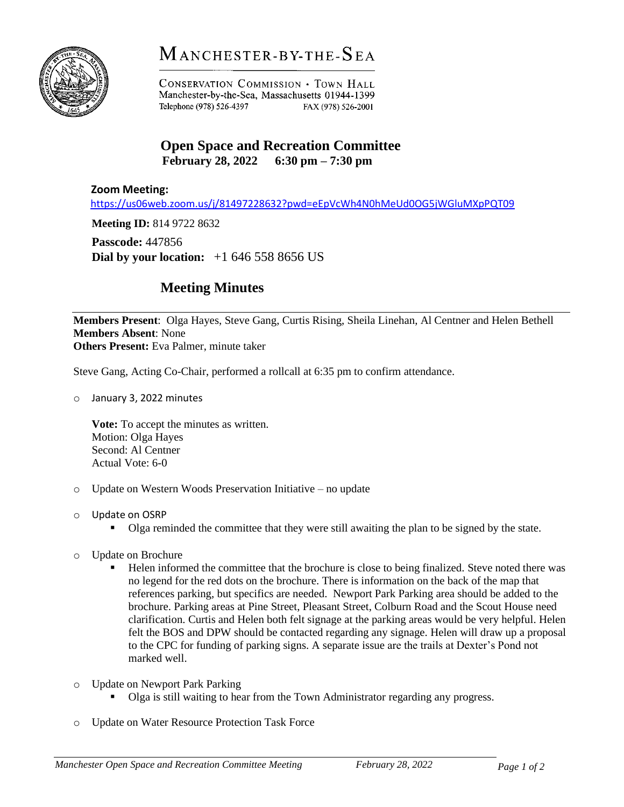

## MANCHESTER-BY-THE-SEA

**CONSERVATION COMMISSION . TOWN HALL** Manchester-by-the-Sea, Massachusetts 01944-1399 Telephone (978) 526-4397 FAX (978) 526-2001

## **Open Space and Recreation Committee February 28, 2022 6:30 pm – 7:30 pm**

## **Zoom Meeting:**

<https://us06web.zoom.us/j/81497228632?pwd=eEpVcWh4N0hMeUd0OG5jWGluMXpPQT09>

**Meeting ID:** 814 9722 8632

**Passcode:** 447856

**Dial by your location:** +1 646 558 8656 US

## **Meeting Minutes**

**Members Present**: Olga Hayes, Steve Gang, Curtis Rising, Sheila Linehan, Al Centner and Helen Bethell **Members Absent**: None **Others Present:** Eva Palmer, minute taker

Steve Gang, Acting Co-Chair, performed a rollcall at 6:35 pm to confirm attendance.

o January 3, 2022 minutes

**Vote:** To accept the minutes as written. Motion: Olga Hayes Second: Al Centner Actual Vote: 6-0

- o Update on Western Woods Preservation Initiative no update
- o Update on OSRP
	- Olga reminded the committee that they were still awaiting the plan to be signed by the state.
- o Update on Brochure
	- Helen informed the committee that the brochure is close to being finalized. Steve noted there was no legend for the red dots on the brochure. There is information on the back of the map that references parking, but specifics are needed. Newport Park Parking area should be added to the brochure. Parking areas at Pine Street, Pleasant Street, Colburn Road and the Scout House need clarification. Curtis and Helen both felt signage at the parking areas would be very helpful. Helen felt the BOS and DPW should be contacted regarding any signage. Helen will draw up a proposal to the CPC for funding of parking signs. A separate issue are the trails at Dexter's Pond not marked well.
- o Update on Newport Park Parking
	- Olga is still waiting to hear from the Town Administrator regarding any progress.
- o Update on Water Resource Protection Task Force